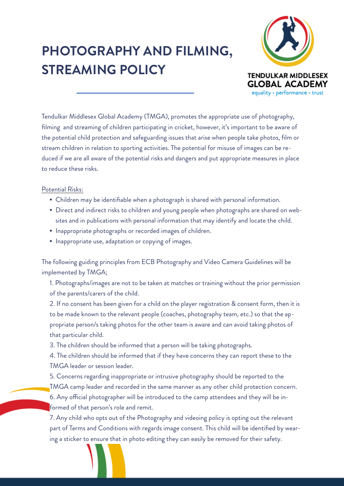## **PHOTOGRAPHY AND FILMING, STREAMING POLICY**



Tendulkar Middlesex Global Academy (TMGA), promotes the appropriate use of photography, filming and streaming of children participating in cricket, however, it's important to be aware of the potential child protection and safeguarding issues that arise when people take photos, film or stream children in relation to sporting activities. The potential for misuse of images can be reduced if we are all aware of the potential risks and dangers and put appropriate measures in place to reduce these risks.

## Potential Risks:

- Children may be identifiable when a photograph is shared with personal information.
- Direct and indirect risks to children and young people when photographs are shared on websites and in publications with personal information that may identify and locate the child.
- Inappropriate photographs or recorded images of children.
- Inappropriate use, adaptation or copying of images.

The following guiding principles from ECB Photography and Video Camera Guidelines will be implemented by TMGA;

1. Photographs/images are not to be taken at matches or training without the prior permission of the parents/carers of the child.

2. If no consent has been given for a child on the player registration & consent form, then it is to be made known to the relevant people (coaches, photography team, etc.) so that the appropriate person/s taking photos for the other team is aware and can avoid taking photos of that particular child.

3. The children should be informed that a person will be taking photographs.

4. The children should be informed that if they have concerns they can report these to the TMGA leader or session leader.

5. Concerns regarding inappropriate or intrusive photography should be reported to the TMGA camp leader and recorded in the same manner as any other child protection concern. 6. Any official photographer will be introduced to the camp attendees and they will be informed of that person's role and remit.

7. Any child who opts out of the Photography and videoing policy is opting out the relevant part of Terms and Conditions with regards image consent. This child will be identified by wearing a sticker to ensure that in photo editing they can easily be removed for their safety.